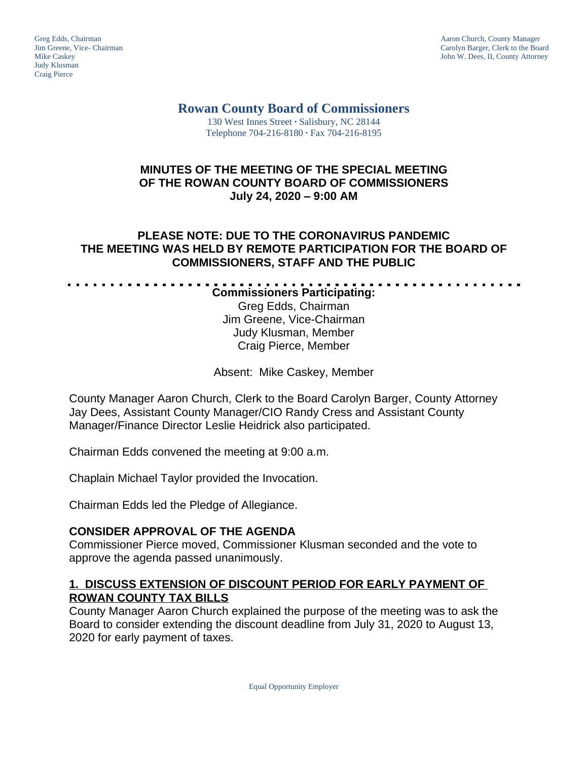Judy Klusman Craig Pierce

Greg Edds, Chairman Aaron Church, County Manager<br>
1989 - Greg Edds, Chairman Aaron Church, County Manager<br>
Carolyn Barger, Clerk to the Boa Jim Greene, Vice- Chairman Carolyn Barger, Clerk to the Board John W. Dees, II, County Attorney

### **Rowan County Board of Commissioners** 130 West Innes Street **∙** Salisbury, NC 28144 Telephone 704-216-8180 **∙** Fax 704-216-8195

### **MINUTES OF THE MEETING OF THE SPECIAL MEETING OF THE ROWAN COUNTY BOARD OF COMMISSIONERS July 24, 2020 – 9:00 AM**

### **PLEASE NOTE: DUE TO THE CORONAVIRUS PANDEMIC THE MEETING WAS HELD BY REMOTE PARTICIPATION FOR THE BOARD OF COMMISSIONERS, STAFF AND THE PUBLIC**

#### . . . . . . . . . . . . . . . . . . . **Commissioners Participating:**

Greg Edds, Chairman Jim Greene, Vice-Chairman Judy Klusman, Member Craig Pierce, Member

Absent: Mike Caskey, Member

County Manager Aaron Church, Clerk to the Board Carolyn Barger, County Attorney Jay Dees, Assistant County Manager/CIO Randy Cress and Assistant County Manager/Finance Director Leslie Heidrick also participated.

Chairman Edds convened the meeting at 9:00 a.m.

Chaplain Michael Taylor provided the Invocation.

Chairman Edds led the Pledge of Allegiance.

. . . . .

# **CONSIDER APPROVAL OF THE AGENDA**

Commissioner Pierce moved, Commissioner Klusman seconded and the vote to approve the agenda passed unanimously.

## **1. DISCUSS EXTENSION OF DISCOUNT PERIOD FOR EARLY PAYMENT OF ROWAN COUNTY TAX BILLS**

County Manager Aaron Church explained the purpose of the meeting was to ask the Board to consider extending the discount deadline from July 31, 2020 to August 13, 2020 for early payment of taxes.